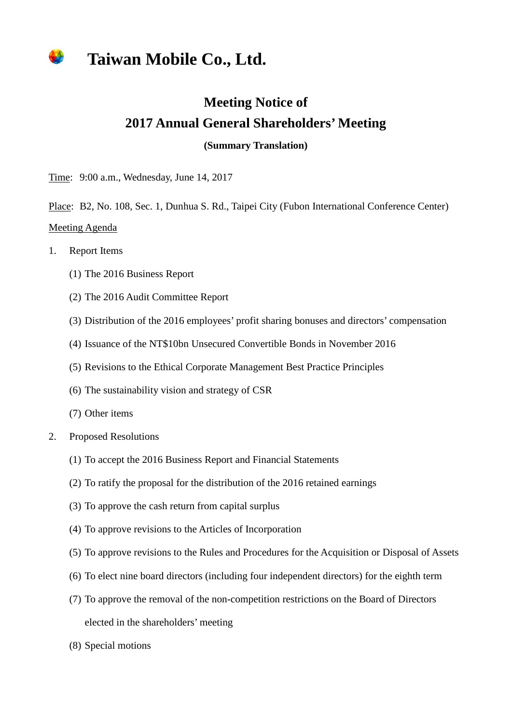## **Taiwan Mobile Co., Ltd.**

## **Meeting Notice of 2017 Annual General Shareholders' Meeting**

**(Summary Translation)**

Time: 9:00 a.m., Wednesday, June 14, 2017

Place: B2, No. 108, Sec. 1, Dunhua S. Rd., Taipei City (Fubon International Conference Center) Meeting Agenda

- 1. Report Items
	- (1) The 2016 Business Report
	- (2) The 2016 Audit Committee Report
	- (3) Distribution of the 2016 employees' profit sharing bonuses and directors' compensation
	- (4) Issuance of the NT\$10bn Unsecured Convertible Bonds in November 2016
	- (5) Revisions to the Ethical Corporate Management Best Practice Principles
	- (6) The sustainability vision and strategy of CSR
	- (7) Other items
- 2. Proposed Resolutions
	- (1) To accept the 2016 Business Report and Financial Statements
	- (2) To ratify the proposal for the distribution of the 2016 retained earnings
	- (3) To approve the cash return from capital surplus
	- (4) To approve revisions to the Articles of Incorporation
	- (5) To approve revisions to the Rules and Procedures for the Acquisition or Disposal of Assets
	- (6) To elect nine board directors (including four independent directors) for the eighth term
	- (7) To approve the removal of the non-competition restrictions on the Board of Directors elected in the shareholders' meeting
	- (8) Special motions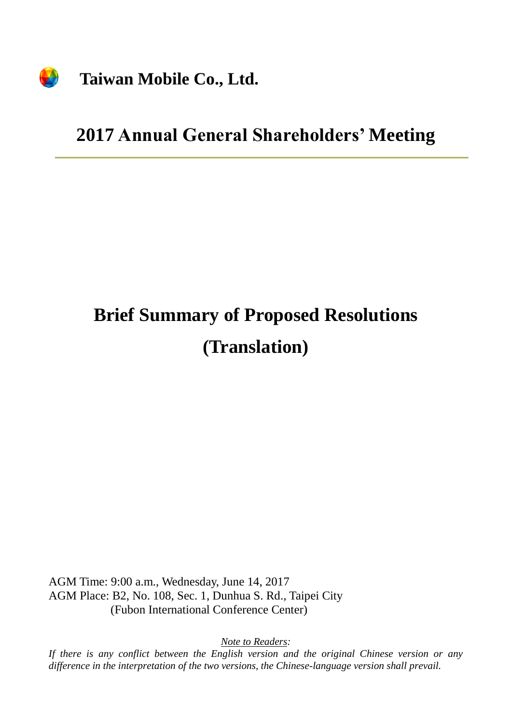

## **Taiwan Mobile Co., Ltd.**

## **2017 Annual General Shareholders' Meeting**

# **Brief Summary of Proposed Resolutions (Translation)**

AGM Time: 9:00 a.m., Wednesday, June 14, 2017 AGM Place: B2, No. 108, Sec. 1, Dunhua S. Rd., Taipei City (Fubon International Conference Center)

*Note to Readers:*

*If there is any conflict between the English version and the original Chinese version or any difference in the interpretation of the two versions, the Chinese-language version shall prevail.*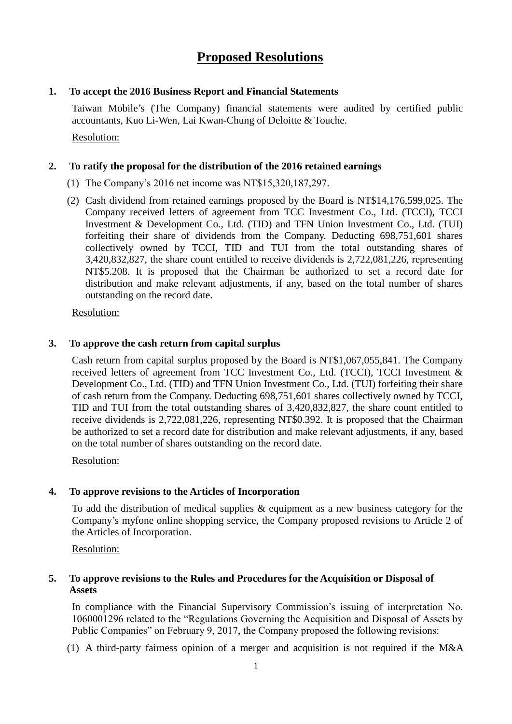### **Proposed Resolutions**

#### **1. To accept the 2016 Business Report and Financial Statements**

Taiwan Mobile's (The Company) financial statements were audited by certified public accountants, Kuo Li-Wen, Lai Kwan-Chung of Deloitte & Touche. Resolution:

#### **2. To ratify the proposal for the distribution of the 2016 retained earnings**

- (1) The Company's 2016 net income was NT\$15,320,187,297.
- (2) Cash dividend from retained earnings proposed by the Board is NT\$14,176,599,025. The Company received letters of agreement from TCC Investment Co., Ltd. (TCCI), TCCI Investment & Development Co., Ltd. (TID) and TFN Union Investment Co., Ltd. (TUI) forfeiting their share of dividends from the Company. Deducting 698,751,601 shares collectively owned by TCCI, TID and TUI from the total outstanding shares of 3,420,832,827, the share count entitled to receive dividends is 2,722,081,226, representing NT\$5.208. It is proposed that the Chairman be authorized to set a record date for distribution and make relevant adjustments, if any, based on the total number of shares outstanding on the record date.

Resolution:

#### **3. To approve the cash return from capital surplus**

Cash return from capital surplus proposed by the Board is NT\$1,067,055,841. The Company received letters of agreement from TCC Investment Co., Ltd. (TCCI), TCCI Investment & Development Co., Ltd. (TID) and TFN Union Investment Co., Ltd. (TUI) forfeiting their share of cash return from the Company. Deducting 698,751,601 shares collectively owned by TCCI, TID and TUI from the total outstanding shares of 3,420,832,827, the share count entitled to receive dividends is 2,722,081,226, representing NT\$0.392. It is proposed that the Chairman be authorized to set a record date for distribution and make relevant adjustments, if any, based on the total number of shares outstanding on the record date.

Resolution:

#### **4. To approve revisions to the Articles of Incorporation**

To add the distribution of medical supplies & equipment as a new business category for the Company's myfone online shopping service, the Company proposed revisions to Article 2 of the Articles of Incorporation.

Resolution:

#### **5. To approve revisions to the Rules and Procedures for the Acquisition or Disposal of Assets**

In compliance with the Financial Supervisory Commission's issuing of interpretation No. 1060001296 related to the "Regulations Governing the Acquisition and Disposal of Assets by Public Companies" on February 9, 2017, the Company proposed the following revisions:

(1) A third-party fairness opinion of a merger and acquisition is not required if the M&A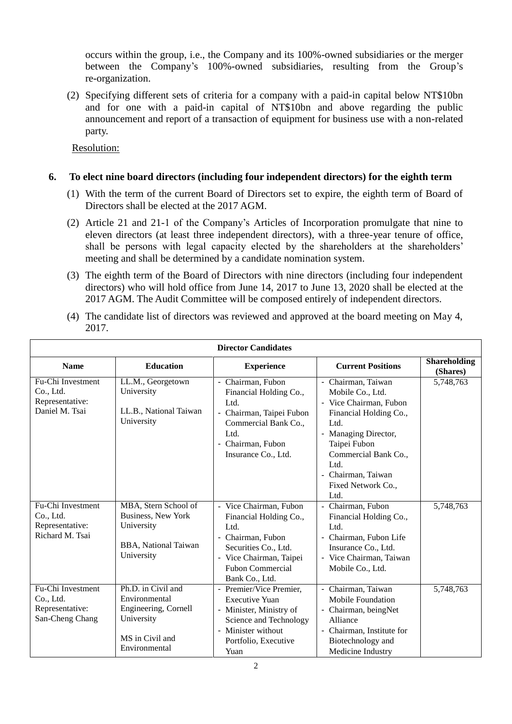occurs within the group, i.e., the Company and its 100%-owned subsidiaries or the merger between the Company's 100%-owned subsidiaries, resulting from the Group's re-organization.

(2) Specifying different sets of criteria for a company with a paid-in capital below NT\$10bn and for one with a paid-in capital of NT\$10bn and above regarding the public announcement and report of a transaction of equipment for business use with a non-related party.

Resolution:

#### **6. To elect nine board directors (including four independent directors) for the eighth term**

- (1) With the term of the current Board of Directors set to expire, the eighth term of Board of Directors shall be elected at the 2017 AGM.
- (2) Article 21 and 21-1 of the Company's Articles of Incorporation promulgate that nine to eleven directors (at least three independent directors), with a three-year tenure of office, shall be persons with legal capacity elected by the shareholders at the shareholders' meeting and shall be determined by a candidate nomination system.
- (3) The eighth term of the Board of Directors with nine directors (including four independent directors) who will hold office from June 14, 2017 to June 13, 2020 shall be elected at the 2017 AGM. The Audit Committee will be composed entirely of independent directors.
- (4) The candidate list of directors was reviewed and approved at the board meeting on May 4, 2017.

| <b>Director Candidates</b>                                           |                                                                                                               |                                                                                                                                                                             |                                                                                                                                                                                                                                |                                 |
|----------------------------------------------------------------------|---------------------------------------------------------------------------------------------------------------|-----------------------------------------------------------------------------------------------------------------------------------------------------------------------------|--------------------------------------------------------------------------------------------------------------------------------------------------------------------------------------------------------------------------------|---------------------------------|
| <b>Name</b>                                                          | <b>Education</b>                                                                                              | <b>Experience</b>                                                                                                                                                           | <b>Current Positions</b>                                                                                                                                                                                                       | <b>Shareholding</b><br>(Shares) |
| Fu-Chi Investment<br>Co., Ltd.<br>Representative:<br>Daniel M. Tsai  | LL.M., Georgetown<br>University<br>LL.B., National Taiwan<br>University                                       | Chairman, Fubon<br>$\blacksquare$<br>Financial Holding Co.,<br>Ltd.<br>- Chairman, Taipei Fubon<br>Commercial Bank Co.,<br>Ltd.<br>- Chairman, Fubon<br>Insurance Co., Ltd. | - Chairman, Taiwan<br>Mobile Co., Ltd.<br>- Vice Chairman, Fubon<br>Financial Holding Co.,<br>Ltd.<br>- Managing Director,<br>Taipei Fubon<br>Commercial Bank Co.,<br>Ltd.<br>- Chairman, Taiwan<br>Fixed Network Co.,<br>Ltd. | 5,748,763                       |
| Fu-Chi Investment<br>Co., Ltd.<br>Representative:<br>Richard M. Tsai | MBA, Stern School of<br>Business, New York<br>University<br><b>BBA, National Taiwan</b><br>University         | - Vice Chairman, Fubon<br>Financial Holding Co.,<br>Ltd.<br>- Chairman, Fubon<br>Securities Co., Ltd.<br>- Vice Chairman, Taipei<br>Fubon Commercial<br>Bank Co., Ltd.      | - Chairman, Fubon<br>Financial Holding Co.,<br>Ltd.<br>- Chairman, Fubon Life<br>Insurance Co., Ltd.<br>- Vice Chairman, Taiwan<br>Mobile Co., Ltd.                                                                            | 5,748,763                       |
| Fu-Chi Investment<br>Co., Ltd.<br>Representative:<br>San-Cheng Chang | Ph.D. in Civil and<br>Environmental<br>Engineering, Cornell<br>University<br>MS in Civil and<br>Environmental | - Premier/Vice Premier,<br><b>Executive Yuan</b><br>- Minister, Ministry of<br>Science and Technology<br>- Minister without<br>Portfolio, Executive<br>Yuan                 | - Chairman, Taiwan<br>Mobile Foundation<br>- Chairman, beingNet<br>Alliance<br>- Chairman, Institute for<br>Biotechnology and<br>Medicine Industry                                                                             | 5,748,763                       |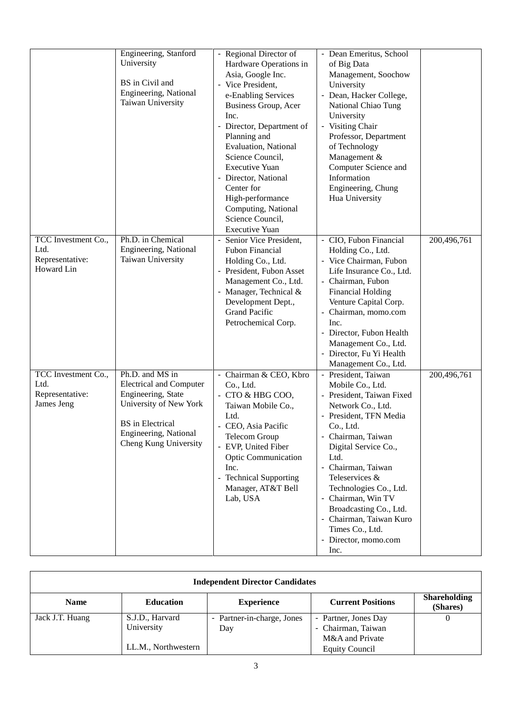|                                                              | Engineering, Stanford<br>University<br>BS in Civil and<br>Engineering, National<br>Taiwan University                                                                           | - Regional Director of<br>Hardware Operations in<br>Asia, Google Inc.<br>- Vice President,<br>e-Enabling Services<br>Business Group, Acer<br>Inc.<br>- Director, Department of<br>Planning and<br><b>Evaluation</b> , National<br>Science Council,<br><b>Executive Yuan</b><br>Director, National | - Dean Emeritus, School<br>of Big Data<br>Management, Soochow<br>University<br>- Dean, Hacker College,<br>National Chiao Tung<br>University<br>- Visiting Chair<br>Professor, Department<br>of Technology<br>Management &<br>Computer Science and<br>Information                                                                                                                       |             |
|--------------------------------------------------------------|--------------------------------------------------------------------------------------------------------------------------------------------------------------------------------|---------------------------------------------------------------------------------------------------------------------------------------------------------------------------------------------------------------------------------------------------------------------------------------------------|----------------------------------------------------------------------------------------------------------------------------------------------------------------------------------------------------------------------------------------------------------------------------------------------------------------------------------------------------------------------------------------|-------------|
|                                                              |                                                                                                                                                                                | Center for<br>High-performance<br>Computing, National<br>Science Council,<br><b>Executive Yuan</b>                                                                                                                                                                                                | Engineering, Chung<br>Hua University                                                                                                                                                                                                                                                                                                                                                   |             |
| TCC Investment Co.,<br>Ltd.<br>Representative:<br>Howard Lin | Ph.D. in Chemical<br>Engineering, National<br>Taiwan University                                                                                                                | Senior Vice President,<br>$\blacksquare$<br>Fubon Financial<br>Holding Co., Ltd.<br>- President, Fubon Asset<br>Management Co., Ltd.<br>- Manager, Technical &<br>Development Dept.,<br><b>Grand Pacific</b><br>Petrochemical Corp.                                                               | - CIO, Fubon Financial<br>Holding Co., Ltd.<br>- Vice Chairman, Fubon<br>Life Insurance Co., Ltd.<br>- Chairman, Fubon<br><b>Financial Holding</b><br>Venture Capital Corp.<br>- Chairman, momo.com<br>Inc.<br>- Director, Fubon Health<br>Management Co., Ltd.<br>- Director, Fu Yi Health<br>Management Co., Ltd.                                                                    | 200,496,761 |
| TCC Investment Co.,<br>Ltd.<br>Representative:<br>James Jeng | Ph.D. and MS in<br><b>Electrical and Computer</b><br>Engineering, State<br>University of New York<br><b>BS</b> in Electrical<br>Engineering, National<br>Cheng Kung University | - Chairman & CEO, Kbro<br>Co., Ltd.<br>- CTO & HBG COO,<br>Taiwan Mobile Co.,<br>Ltd.<br>- CEO, Asia Pacific<br><b>Telecom Group</b><br>- EVP, United Fiber<br><b>Optic Communication</b><br>Inc.<br>- Technical Supporting<br>Manager, AT&T Bell<br>Lab, USA                                     | - President, Taiwan<br>Mobile Co., Ltd.<br>- President, Taiwan Fixed<br>Network Co., Ltd.<br>- President, TFN Media<br>Co., Ltd.<br>- Chairman, Taiwan<br>Digital Service Co.,<br>Ltd.<br>- Chairman, Taiwan<br>Teleservices &<br>Technologies Co., Ltd.<br>- Chairman, Win TV<br>Broadcasting Co., Ltd.<br>- Chairman, Taiwan Kuro<br>Times Co., Ltd.<br>- Director, momo.com<br>Inc. | 200,496,761 |

| <b>Independent Director Candidates</b> |                     |                            |                          |                                 |
|----------------------------------------|---------------------|----------------------------|--------------------------|---------------------------------|
| <b>Name</b>                            | <b>Education</b>    | <b>Experience</b>          | <b>Current Positions</b> | <b>Shareholding</b><br>(Shares) |
| Jack J.T. Huang                        | S.J.D., Harvard     | - Partner-in-charge, Jones | - Partner, Jones Day     |                                 |
|                                        | University          | Day                        | - Chairman, Taiwan       |                                 |
|                                        |                     |                            | M&A and Private          |                                 |
|                                        | LL.M., Northwestern |                            | <b>Equity Council</b>    |                                 |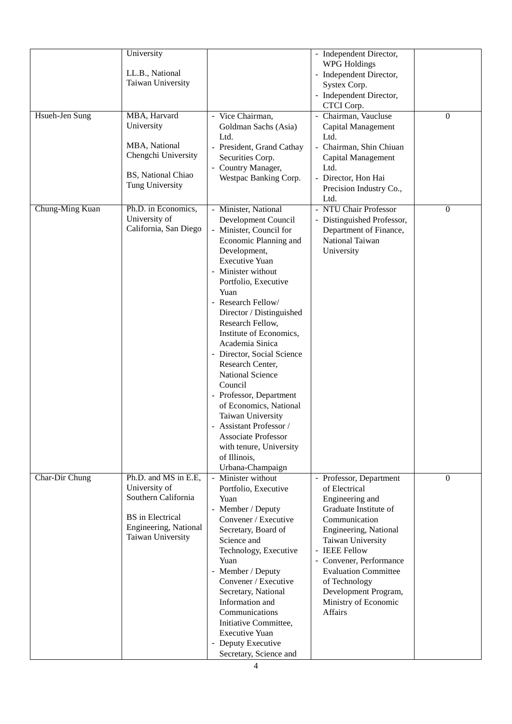|                 | University<br>LL.B., National<br>Taiwan University                                                                                    |                                                                                                                                                                                                                                                                                                                                                                                                                                                                                                                                                                                                              | - Independent Director,<br><b>WPG</b> Holdings<br>- Independent Director,<br>Systex Corp.<br>- Independent Director,<br>CTCI Corp.                                                                                                                                                                              |                |
|-----------------|---------------------------------------------------------------------------------------------------------------------------------------|--------------------------------------------------------------------------------------------------------------------------------------------------------------------------------------------------------------------------------------------------------------------------------------------------------------------------------------------------------------------------------------------------------------------------------------------------------------------------------------------------------------------------------------------------------------------------------------------------------------|-----------------------------------------------------------------------------------------------------------------------------------------------------------------------------------------------------------------------------------------------------------------------------------------------------------------|----------------|
| Hsueh-Jen Sung  | MBA, Harvard<br>University<br>MBA, National<br>Chengchi University<br>BS, National Chiao<br>Tung University                           | - Vice Chairman,<br>Goldman Sachs (Asia)<br>Ltd.<br>- President, Grand Cathay<br>Securities Corp.<br>- Country Manager,<br>Westpac Banking Corp.                                                                                                                                                                                                                                                                                                                                                                                                                                                             | - Chairman, Vaucluse<br>Capital Management<br>Ltd.<br>- Chairman, Shin Chiuan<br>Capital Management<br>Ltd.<br>- Director, Hon Hai<br>Precision Industry Co.,<br>Ltd.                                                                                                                                           | $\overline{0}$ |
| Chung-Ming Kuan | Ph.D. in Economics,<br>University of<br>California, San Diego                                                                         | - Minister, National<br>Development Council<br>- Minister, Council for<br>Economic Planning and<br>Development,<br><b>Executive Yuan</b><br>- Minister without<br>Portfolio, Executive<br>Yuan<br>- Research Fellow/<br>Director / Distinguished<br>Research Fellow,<br>Institute of Economics,<br>Academia Sinica<br>- Director, Social Science<br>Research Center,<br><b>National Science</b><br>Council<br>- Professor, Department<br>of Economics, National<br>Taiwan University<br>- Assistant Professor /<br><b>Associate Professor</b><br>with tenure, University<br>of Illinois,<br>Urbana-Champaign | - NTU Chair Professor<br>- Distinguished Professor,<br>Department of Finance,<br>National Taiwan<br>University                                                                                                                                                                                                  | $\mathbf{0}$   |
| Char-Dir Chung  | Ph.D. and MS in E.E.<br>University of<br>Southern California<br><b>BS</b> in Electrical<br>Engineering, National<br>Taiwan University | - Minister without<br>Portfolio, Executive<br>Yuan<br>- Member / Deputy<br>Convener / Executive<br>Secretary, Board of<br>Science and<br>Technology, Executive<br>Yuan<br>- Member / Deputy<br>Convener / Executive<br>Secretary, National<br>Information and<br>Communications<br>Initiative Committee,<br><b>Executive Yuan</b><br>- Deputy Executive<br>Secretary, Science and                                                                                                                                                                                                                            | - Professor, Department<br>of Electrical<br>Engineering and<br>Graduate Institute of<br>Communication<br>Engineering, National<br>Taiwan University<br><b>IEEE Fellow</b><br>- Convener, Performance<br><b>Evaluation Committee</b><br>of Technology<br>Development Program,<br>Ministry of Economic<br>Affairs | $\Omega$       |